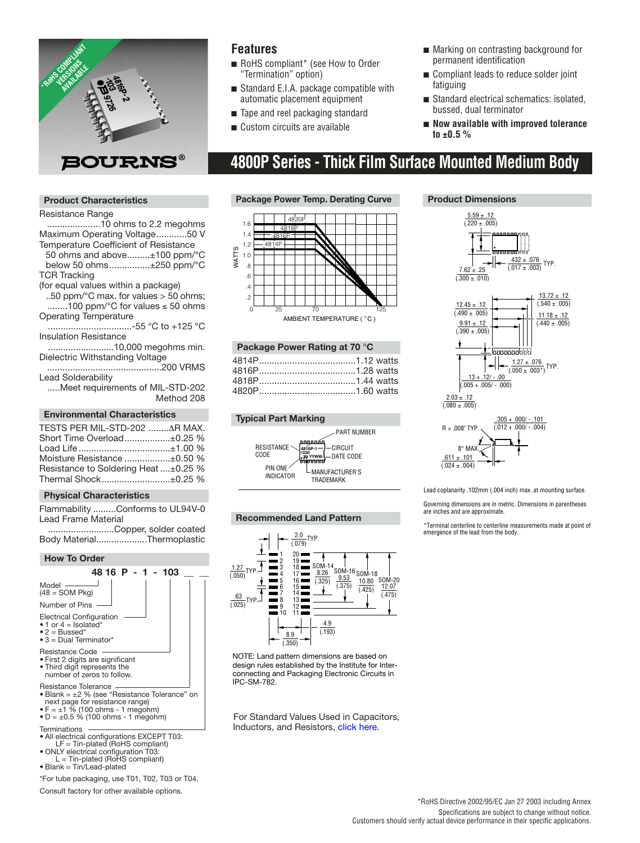

### **Features**

- RoHS compliant<sup>\*</sup> (see How to Order "Termination" option)
- Standard E.I.A. package compatible with automatic placement equipment
- Tape and reel packaging standard
- Custom circuits are available
- Marking on contrasting background for permanent identification
- Compliant leads to reduce solder joint fatiguing
- Standard electrical schematics: isolated, bussed, dual terminator
- **Now available with improved tolerance to ±0.5 %**

# **4800P Series - Thick Film Surface Mounted Medium Body**

#### **Product Characteristics**

#### Resistance Range

.....................10 ohms to 2.2 megohms Maximum Operating Voltage............50 V Temperature Coefficient of Resistance

- 50 ohms and above.........±100 ppm/°C below 50 ohms................±250 ppm/°C
- TCR Tracking

(for equal values within a package)

..50 ppm/°C max. for values > 50 ohms; ........100 ppm/°C for values ≤ 50 ohms Operating Temperature

.................................-55 °C to +125 °C Insulation Resistance

..........................10,000 megohms min. Dielectric Withstanding Voltage

.............................................200 VRMS Lead Solderability

.....Meet requirements of MIL-STD-202 Method 208

#### **Environmental Characteristics**

| TESTS PER MIL-STD-202 AR MAX.        |  |
|--------------------------------------|--|
|                                      |  |
| Short Time Overload±0.25 %           |  |
| Load Life±1.00 %                     |  |
| Moisture Resistance ±0.50 %          |  |
| Resistance to Soldering Heat ±0.25 % |  |
| Thermal Shock±0.25 %                 |  |

#### **Physical Characteristics**

Flammability .........Conforms to UL94V-0 Lead Frame Material

..........................Copper, solder coated Body Material....................Thermoplastic



- Terminations
- All electrical configurations EXCEPT T03: LF = Tin-plated (RoHS compliant)
- ONLY electrical configuration T03: L = Tin-plated (RoHS compliant)
- Blank = Tin/Lead-plated

\*For tube packaging, use T01, T02, T03 or T04.

Consult factory for other available options.

#### **Package Power Temp. Derating Curve**





#### **Typical Part Marking**







NOTE: Land pattern dimensions are based on design rules established by the Institute for Interconnecting and Packaging Electronic Circuits in IPC-SM-782.

For Standard Values U[sed in Capacitors,](http://www.bourns.com/components.aspx?cmsphid=7631383|7163299|5862693) Inductors, and Resistors, click here.

#### $5.59 \pm .12$  $(.220 \pm .005)$ **Product Dimensions**



Lead coplanarity .102mm (.004 inch) max. at mounting surface.

Governing dimensions are in metric. Dimensions in parentheses are inches and are approximate.

\*Terminal centerline to centerline measurements made at point of emergence of the lead from the body.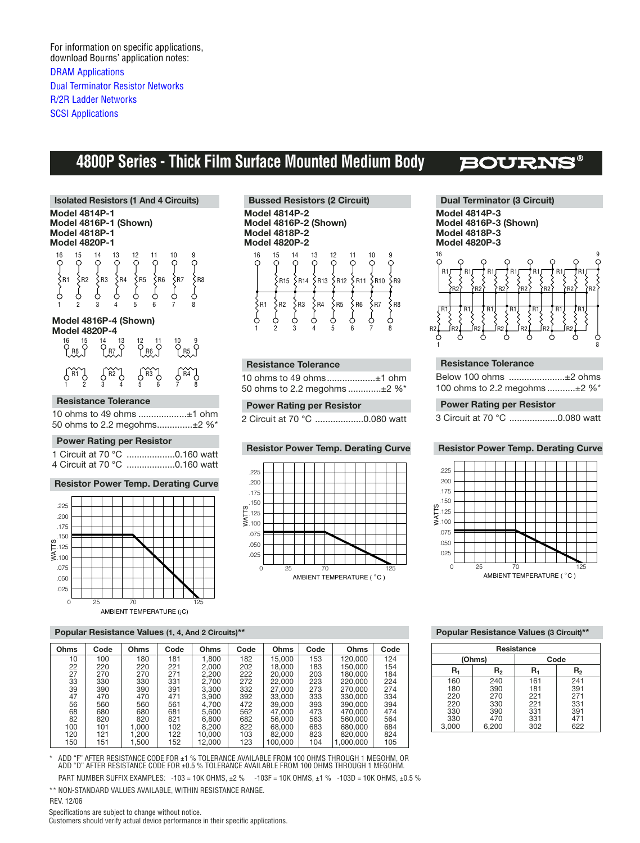For information on specific applications, download Bourns' application notes: [DRAM Applications](http://www.bourns.com/pdfs/DRAM.pdf) [Dual Terminator Resistor Networks](http://www.bourns.com/pdfs/dualterm.pdf) [R/2R Ladder Networks](http://www.bourns.com/pdfs/r2rap.pdf) **[SCSI Applications](http://www.bourns.com/pdfs/scsi.pdf)** 

# **4800P Series - Thick Film Surface Mounted Medium Body**

## **BOURN**

**Isolated Resistors (1 And 4 Circuits) Model 4814P-1 Model 4816P-1 (Shown) Model 4818P-1 Model 4820P-1**   $\frac{15}{9}$ 16 15 14 13 12 11 10 9 16 15 14 13 12 11 10  $^{14}_{\rm Q}$ 13 12 11  $\overline{O}$  $\frac{9}{\circ}$ O C  $\{R1 \}$   $\{R2 \}$   $\{R3 \}$   $\{R4 \}$   $\{R5 \}$   $\{R6 \}$   $\{R7 \}$   $\{R8 \}$ Š  $\varphi$ උ 1 2 3 4 5 6 7 8 **Model 4816P-4 (Shown) Model 4820P-4**  16 15 14 13 12 11 10 9 P<sub>DO</sub>Q Q<sub>DT</sub>Q Q<sub>DE</sub>Q Q<sub>DE</sub>Q R8 R7 R6 R5 R1 R2 R3 R4 1 2 3 4 5 6 7 8

#### **Resistance Tolerance**

|  |  | 10 ohms to 49 ohms ±1 ohm   |  |
|--|--|-----------------------------|--|
|  |  | 50 ohms to 2.2 megohms±2 %* |  |

#### **Power Rating per Resistor**

1 Circuit at 70 °C ...................0.160 watt 4 Circuit at 70 °C ...................0.160 watt

#### **Resistor Power Temp. Derating Curve**



#### **Popular Resistance Values (1, 4, And 2 Circuits)\*\***

| Ohms | Code | Ohms  | Code | Ohms   | Code | Ohms    | Code | Ohms      | Code |
|------|------|-------|------|--------|------|---------|------|-----------|------|
| 10   | 100  | 180   | 181  | 1.800  | 182  | 15.000  | 153  | 120.000   | 124  |
| 22   | 220  | 220   | 221  | 2.000  | 202  | 18.000  | 183  | 150.000   | 154  |
| 27   | 270  | 270   | 271  | 2.200  | 222  | 20,000  | 203  | 180.000   | 184  |
| 33   | 330  | 330   | 331  | 2.700  | 272  | 22.000  | 223  | 220,000   | 224  |
| 39   | 390  | 390   | 391  | 3.300  | 332  | 27,000  | 273  | 270.000   | 274  |
| 47   | 470  | 470   | 471  | 3.900  | 392  | 33,000  | 333  | 330,000   | 334  |
| 56   | 560  | 560   | 561  | 4.700  | 472  | 39,000  | 393  | 390,000   | 394  |
| 68   | 680  | 680   | 681  | 5.600  | 562  | 47.000  | 473  | 470.000   | 474  |
| 82   | 820  | 820   | 821  | 6.800  | 682  | 56,000  | 563  | 560,000   | 564  |
| 100  | 101  | 1.000 | 102  | 8.200  | 822  | 68,000  | 683  | 680,000   | 684  |
| 120  | 121  | 1.200 | 122  | 10.000 | 103  | 82.000  | 823  | 820,000   | 824  |
| 150  | 151  | .500  | 152  | 12.000 | 123  | 100.000 | 104  | 1.000.000 | 105  |

ADD "F" AFTER RESISTANCE CODE FOR ±1 % TOLERANCE AVAILABLE FROM 100 OHMS THROUGH 1 MEGOHM, OR ADD "D" AFTER RESISTANCE CODE FOR ±0.5 % TOLERANCE AVAILABLE FROM 100 OHMS THROUGH 1 MEGOHM.

PART NUMBER SUFFIX EXAMPLES: -103 = 10K OHMS, ±2 % -103F = 10K OHMS, ±1 % -103D = 10K OHMS, ±0.5 % \*\* NON-STANDARD VALUES AVAILABLE, WITHIN RESISTANCE RANGE.

REV. 12/06

Specifications are subject to change without notice.

Customers should verify actual device performance in their specific applications.





#### **Resistance Tolerance**

10 ohms to 49 ohms...................±1 ohm 50 ohms to 2.2 megohms .............±2 %\*

#### **Power Rating per Resistor**

2 Circuit at 70 °C ...................0.080 watt



**Dual Terminator (3 Circuit) Model 4814P-3 Model 4816P-3 (Shown) Model 4818P-3 Model 4820P-3** 



#### **Resistance Tolerance**

| Below 100 ohms ±2 ohms              |  |
|-------------------------------------|--|
| 100 ohms to 2.2 megohms $\pm 2\%$ * |  |

#### **Power Rating per Resistor**

3 Circuit at 70 °C ...................0.080 watt

#### **Resistor Power Temp. Derating Curve Resistor Power Temp. Derating Curve**



#### **Popular Resistance Values (3 Circuit)\*\***

| Resistance                                      |                                                 |                                               |                                               |  |  |  |
|-------------------------------------------------|-------------------------------------------------|-----------------------------------------------|-----------------------------------------------|--|--|--|
|                                                 | (Ohms)                                          | Code                                          |                                               |  |  |  |
| R,                                              | R,                                              | R.                                            | R,                                            |  |  |  |
| 160<br>180<br>220<br>220<br>330<br>330<br>3,000 | 240<br>390<br>270<br>330<br>390<br>470<br>6,200 | 161<br>181<br>221<br>221<br>331<br>331<br>302 | 241<br>391<br>271<br>331<br>391<br>471<br>622 |  |  |  |